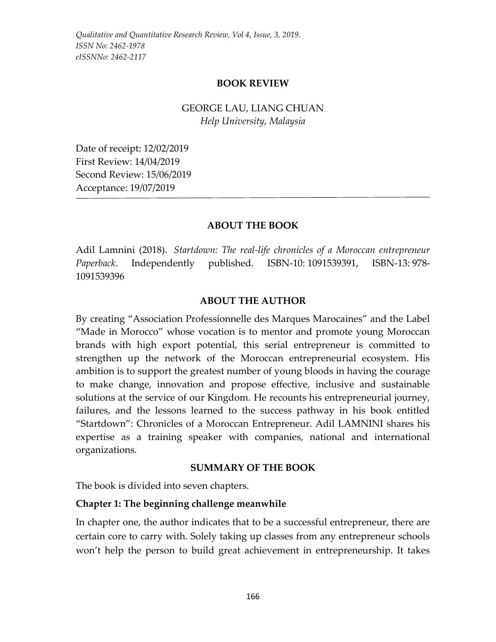#### **BOOK REVIEW**

# GEORGE LAU, LIANG CHUAN *Help University, Malaysia*

Date of receipt: 12/02/2019 First Review: 14/04/2019 Second Review: 15/06/2019 Acceptance: 19/07/2019

### **ABOUT THE BOOK**

Adil Lamnini (2018). *Startdown: The real-life chronicles of a Moroccan entrepreneur Paperback*. Independently published. ISBN-10: 1091539391, ISBN-13: 978- 1091539396

#### **ABOUT THE AUTHOR**

By creating "Association Professionnelle des Marques Marocaines" and the Label "Made in Morocco" whose vocation is to mentor and promote young Moroccan brands with high export potential, this serial entrepreneur is committed to strengthen up the network of the Moroccan entrepreneurial ecosystem. His ambition is to support the greatest number of young bloods in having the courage to make change, innovation and propose effective, inclusive and sustainable solutions at the service of our Kingdom. He recounts his entrepreneurial journey, failures, and the lessons learned to the success pathway in his book entitled "Startdown": Chronicles of a Moroccan Entrepreneur. Adil LAMNINI shares his expertise as a training speaker with companies, national and international organizations.

#### **SUMMARY OF THE BOOK**

The book is divided into seven chapters.

#### **Chapter 1: The beginning challenge meanwhile**

In chapter one, the author indicates that to be a successful entrepreneur, there are certain core to carry with. Solely taking up classes from any entrepreneur schools won't help the person to build great achievement in entrepreneurship. It takes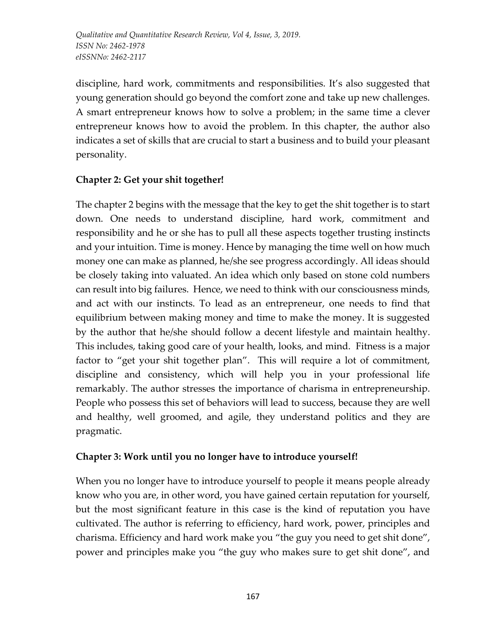*Qualitative and Quantitative Research Review, Vol 4, Issue, 3, 2019. ISSN No: 2462-1978 eISSNNo: 2462-2117*

discipline, hard work, commitments and responsibilities. It's also suggested that young generation should go beyond the comfort zone and take up new challenges. A smart entrepreneur knows how to solve a problem; in the same time a clever entrepreneur knows how to avoid the problem. In this chapter, the author also indicates a set of skills that are crucial to start a business and to build your pleasant personality.

# **Chapter 2: Get your shit together!**

The chapter 2 begins with the message that the key to get the shit together is to start down. One needs to understand discipline, hard work, commitment and responsibility and he or she has to pull all these aspects together trusting instincts and your intuition. Time is money. Hence by managing the time well on how much money one can make as planned, he/she see progress accordingly. All ideas should be closely taking into valuated. An idea which only based on stone cold numbers can result into big failures. Hence, we need to think with our consciousness minds, and act with our instincts. To lead as an entrepreneur, one needs to find that equilibrium between making money and time to make the money. It is suggested by the author that he/she should follow a decent lifestyle and maintain healthy. This includes, taking good care of your health, looks, and mind. Fitness is a major factor to "get your shit together plan". This will require a lot of commitment, discipline and consistency, which will help you in your professional life remarkably. The author stresses the importance of charisma in entrepreneurship. People who possess this set of behaviors will lead to success, because they are well and healthy, well groomed, and agile, they understand politics and they are pragmatic.

### **Chapter 3: Work until you no longer have to introduce yourself!**

When you no longer have to introduce yourself to people it means people already know who you are, in other word, you have gained certain reputation for yourself, but the most significant feature in this case is the kind of reputation you have cultivated. The author is referring to efficiency, hard work, power, principles and charisma. Efficiency and hard work make you "the guy you need to get shit done", power and principles make you "the guy who makes sure to get shit done", and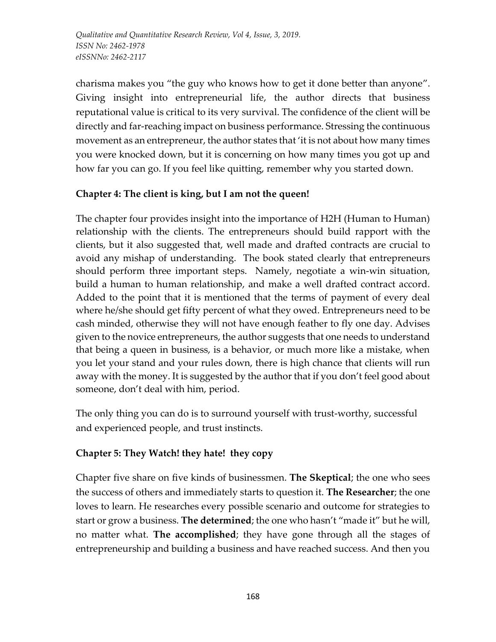*Qualitative and Quantitative Research Review, Vol 4, Issue, 3, 2019. ISSN No: 2462-1978 eISSNNo: 2462-2117*

charisma makes you "the guy who knows how to get it done better than anyone". Giving insight into entrepreneurial life, the author directs that business reputational value is critical to its very survival. The confidence of the client will be directly and far-reaching impact on business performance. Stressing the continuous movement as an entrepreneur, the author states that 'it is not about how many times you were knocked down, but it is concerning on how many times you got up and how far you can go. If you feel like quitting, remember why you started down.

# **Chapter 4: The client is king, but I am not the queen!**

The chapter four provides insight into the importance of H2H (Human to Human) relationship with the clients. The entrepreneurs should build rapport with the clients, but it also suggested that, well made and drafted contracts are crucial to avoid any mishap of understanding. The book stated clearly that entrepreneurs should perform three important steps. Namely, negotiate a win-win situation, build a human to human relationship, and make a well drafted contract accord. Added to the point that it is mentioned that the terms of payment of every deal where he/she should get fifty percent of what they owed. Entrepreneurs need to be cash minded, otherwise they will not have enough feather to fly one day. Advises given to the novice entrepreneurs, the author suggests that one needs to understand that being a queen in business, is a behavior, or much more like a mistake, when you let your stand and your rules down, there is high chance that clients will run away with the money. It is suggested by the author that if you don't feel good about someone, don't deal with him, period.

The only thing you can do is to surround yourself with trust-worthy, successful and experienced people, and trust instincts.

### **Chapter 5: They Watch! they hate! they copy**

Chapter five share on five kinds of businessmen. **The Skeptical**; the one who sees the success of others and immediately starts to question it. **The Researcher**; the one loves to learn. He researches every possible scenario and outcome for strategies to start or grow a business. **The determined**; the one who hasn't "made it" but he will, no matter what. **The accomplished**; they have gone through all the stages of entrepreneurship and building a business and have reached success. And then you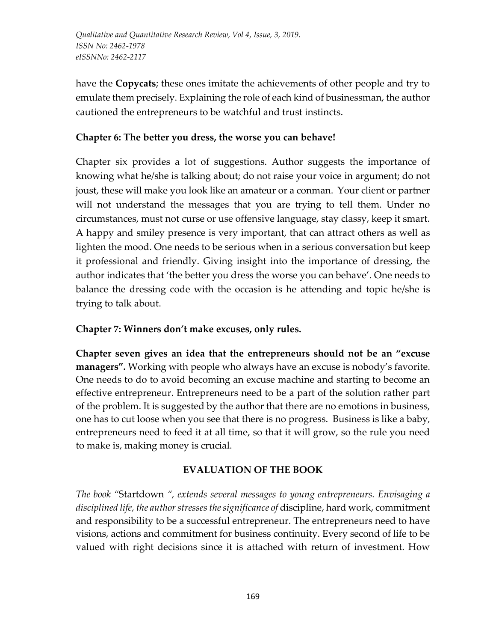have the **Copycats**; these ones imitate the achievements of other people and try to emulate them precisely. Explaining the role of each kind of businessman, the author cautioned the entrepreneurs to be watchful and trust instincts.

# **Chapter 6: The better you dress, the worse you can behave!**

Chapter six provides a lot of suggestions. Author suggests the importance of knowing what he/she is talking about; do not raise your voice in argument; do not joust, these will make you look like an amateur or a conman. Your client or partner will not understand the messages that you are trying to tell them. Under no circumstances, must not curse or use offensive language, stay classy, keep it smart. A happy and smiley presence is very important, that can attract others as well as lighten the mood. One needs to be serious when in a serious conversation but keep it professional and friendly. Giving insight into the importance of dressing, the author indicates that 'the better you dress the worse you can behave'. One needs to balance the dressing code with the occasion is he attending and topic he/she is trying to talk about.

### **Chapter 7: Winners don't make excuses, only rules.**

**Chapter seven gives an idea that the entrepreneurs should not be an "excuse managers".** Working with people who always have an excuse is nobody's favorite. One needs to do to avoid becoming an excuse machine and starting to become an effective entrepreneur. Entrepreneurs need to be a part of the solution rather part of the problem. It is suggested by the author that there are no emotions in business, one has to cut loose when you see that there is no progress. Business is like a baby, entrepreneurs need to feed it at all time, so that it will grow, so the rule you need to make is, making money is crucial.

### **EVALUATION OF THE BOOK**

*The book "*Startdown *", extends several messages to young entrepreneurs. Envisaging a disciplined life, the author stresses the significance of* discipline, hard work, commitment and responsibility to be a successful entrepreneur. The entrepreneurs need to have visions, actions and commitment for business continuity. Every second of life to be valued with right decisions since it is attached with return of investment. How